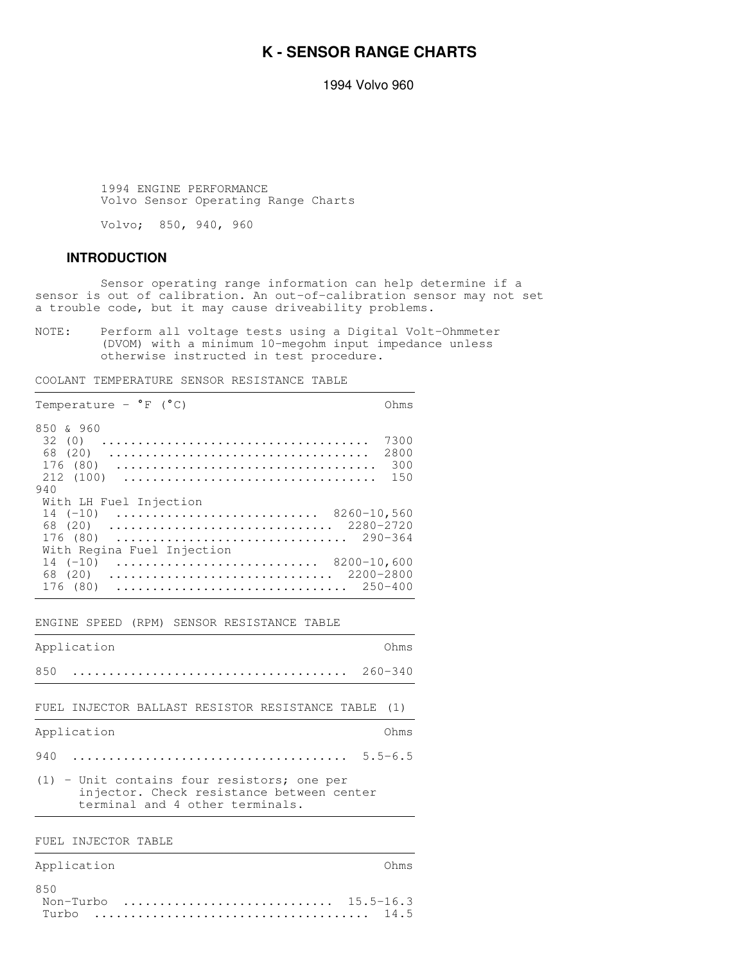# **K - SENSOR RANGE CHARTS**

1994 Volvo 960

 1994 ENGINE PERFORMANCE Volvo Sensor Operating Range Charts

Volvo; 850, 940, 960

# **INTRODUCTION**

 Sensor operating range information can help determine if a sensor is out of calibration. An out-of-calibration sensor may not set a trouble code, but it may cause driveability problems.

NOTE: Perform all voltage tests using a Digital Volt-Ohmmeter (DVOM) with a minimum 10-megohm input impedance unless otherwise instructed in test procedure.

,我们就会不会不会。""我们,我们就会不会不会,我们就会不会不会。""我们,我们就会不会不会。""我们,我们就会不会不会不会。""我们,我们就会不会不会不会。""

,我们就是一个人的,我们就是一个人的,我们就是一个人的,我们就是一个人的。""我们,我们就是一个人的,我们就是一个人的,我们就是一个人的,我们就是一个人的。""我

COOLANT TEMPERATURE SENSOR RESISTANCE TABLE

| Temperature - ${}^{\circ}$ F ( ${}^{\circ}$ C)                                              | Ohms                |
|---------------------------------------------------------------------------------------------|---------------------|
| 850 & 960<br>32<br>(0)<br>68 (20)<br>176 (80)                                               | 7300<br>2800<br>300 |
| 212 (100)<br>940<br>With LH Fuel Injection                                                  | 150                 |
| 8260-10,560<br>$14 (-10)$<br>2280-2720<br>68 (20)<br>176 (80)<br>With Regina Fuel Injection | $290 - 364$         |
| $8200 - 10,600$<br>$14( -10)$<br>2200-2800<br>(20)<br>68<br>176 (80)                        | $250 - 400$         |
|                                                                                             |                     |

ENGINE SPEED (RPM) SENSOR RESISTANCE TABLE

| Application                                                                                                                   | Ohms          |
|-------------------------------------------------------------------------------------------------------------------------------|---------------|
| 850                                                                                                                           | $260 - 340$   |
| FUEL INJECTOR BALLAST RESISTOR RESISTANCE TABLE (1)                                                                           |               |
| Application                                                                                                                   | Ohms          |
| 940                                                                                                                           | 5.5-6.5       |
| $(1)$ - Unit contains four resistors; one per<br>injector. Check resistance between center<br>terminal and 4 other terminals. |               |
| FUEL INJECTOR TABLE                                                                                                           |               |
| Application                                                                                                                   | Ohms          |
| 850<br>Non-Turbo                                                                                                              | $15.5 - 16.3$ |

Turbo ...................................... 14.5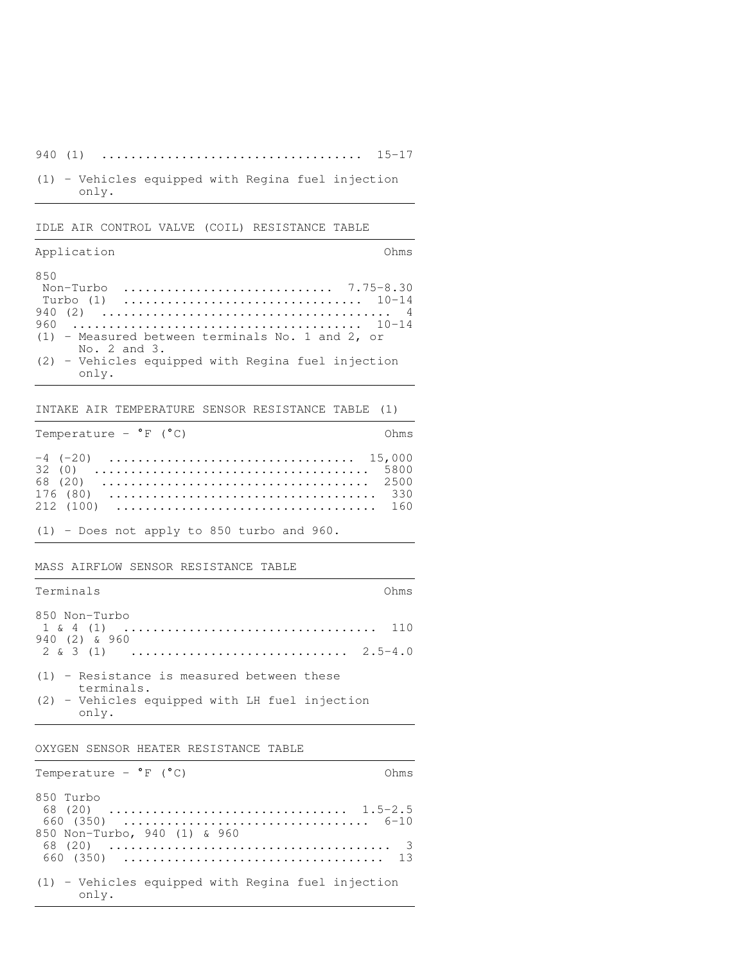#### 940 (1) .................................... 15-17

,我们就是一个人的,我们就是一个人的,我们就是一个人的,我们就是一个人的。""我们,我们就是一个人的,我们就是一个人的,我们就是一个人的,我们就是一个人的。""我

,我们就是一个人的,我们就是一个人的,我们就是一个人的,我们就是一个人的。""我们,我们就是一个人的,我们就是一个人的,我们就是一个人的,我们就是一个人的。""我

,我们就会不会不会。""我们,我们就会不会不会,我们就会不会不会。""我们,我们就会不会不会。""我们,我们就会不会不会不会。""我们,我们就会不会不会不会。""

,我们就是一个人的,我们就是一个人的,我们就是一个人的,我们就是一个人的。""我们,我们就是一个人的,我们就是一个人的,我们就是一个人的,我们就是一个人的。""我

,我们就是一个人的,我们就是一个人的,我们就是一个人的,我们就是一个人的。""我们,我们就是一个人的,我们就是一个人的,我们就是一个人的,我们就是一个人的。""我

,我们就会不会不会。""我们,我们就会不会不会,我们就会不会不会。""我们,我们就会不会不会。""我们,我们就会不会不会不会。""我们,我们就会不会不会不会。""

,我们就是一个人的,我们就是一个人的,我们就是一个人的,我们就是一个人的。""我们,我们就是一个人的,我们就是一个人的,我们就是一个人的,我们就是一个人的。""我

,我们就是一个人的,我们就是一个人的,我们就是一个人的,我们就是一个人的。""我们,我们就是一个人的,我们就是一个人的,我们就是一个人的,我们就是一个人的。""我

C) Ohms

(1) - Vehicles equipped with Regina fuel injection only.

## IDLE AIR CONTROL VALVE (COIL) RESISTANCE TABLE

# Application Ohms

| 850                                                |
|----------------------------------------------------|
|                                                    |
| Turbo (1)  10-14                                   |
|                                                    |
|                                                    |
| (1) - Measured between terminals No. 1 and 2, or   |
| No. 2 and 3.                                       |
| (2) - Vehicles equipped with Regina fuel injection |
| only.                                              |

INTAKE AIR TEMPERATURE SENSOR RESISTANCE TABLE (1)

Temperature - °F ('

(1) - Does not apply to 850 turbo and 960.

#### MASS AIRFLOW SENSOR RESISTANCE TABLE

| Terminals                                                  | ∩hms |
|------------------------------------------------------------|------|
| 850 Non-Turbo<br>940 (2) & 960                             |      |
|                                                            |      |
| $(1)$ - Resistance is measured between these<br>terminals. |      |
| (2) - Vehicles equipped with LH fuel injection<br>only.    |      |

### OXYGEN SENSOR HEATER RESISTANCE TABLE

Temperature - °F (' C) Ohms 850 Turbo 68 (20) ................................. 1.5-2.5 660 (350) .................................. 6-10 850 Non-Turbo, 940 (1) & 960 68 (20) ....................................... 3 660 (350) .................................... 13 (1) - Vehicles equipped with Regina fuel injection only.